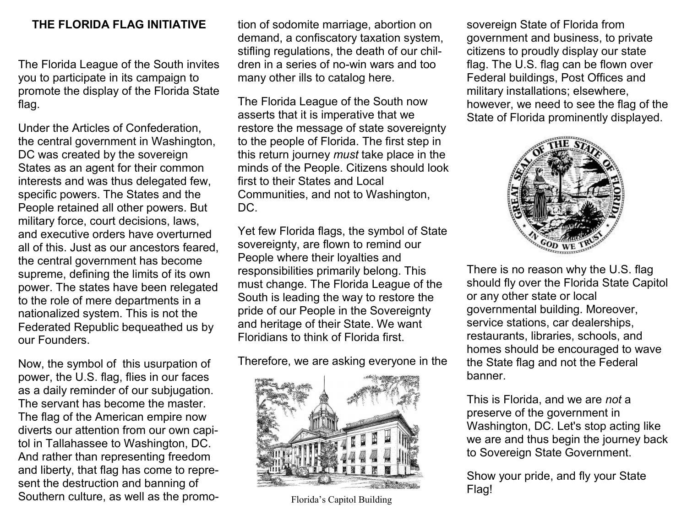## **THE FLORIDA FLAG INITIATIVE**

The Florida League of the South invites you to participate in its campaign to promote the display of the Florida State flag.

Under the Articles of Confederation, the central government in Washington, DC was created by the sovereign States as an agent for their common interests and was thus delegated few, specific powers. The States and the People retained all other powers. But military force, court decisions, laws, and executive orders have overturned all of this. Just as our ancestors feared, the central government has become supreme, defining the limits of its own power. The states have been relegated to the role of mere departments in a nationalized system. This is not the Federated Republic bequeathed us by our Founders.

Now, the symbol of this usurpation of power, the U.S. flag, flies in our faces as a daily reminder of our subjugation. The servant has become the master. The flag of the American empire now diverts our attention from our own capitol in Tallahassee to Washington, DC. And rather than representing freedom and liberty, that flag has come to represent the destruction and banning of Southern culture, as well as the promotion of sodomite marriage, abortion on demand, a confiscatory taxation system, stifling regulations, the death of our children in a series of no-win wars and too many other ills to catalog here.

The Florida League of the South now asserts that it is imperative that we restore the message of state sovereignty to the people of Florida. The first step in this return journey *must* take place in the minds of the People. Citizens should look first to their States and Local Communities, and not to Washington, DC.

Yet few Florida flags, the symbol of State sovereignty, are flown to remind our People where their loyalties and responsibilities primarily belong. This must change. The Florida League of the South is leading the way to restore the pride of our People in the Sovereignty and heritage of their State. We want Floridians to think of Florida first.

## Therefore, we are asking everyone in the



Florida's Capitol Building

sovereign State of Florida from government and business, to private citizens to proudly display our state flag. The U.S. flag can be flown over Federal buildings, Post Offices and military installations; elsewhere, however, we need to see the flag of the State of Florida prominently displayed.



There is no reason why the U.S. flag should fly over the Florida State Capitol or any other state or local governmental building. Moreover, service stations, car dealerships, restaurants, libraries, schools, and homes should be encouraged to wave the State flag and not the Federal banner.

This is Florida, and we are *not* a preserve of the government in Washington, DC. Let's stop acting like we are and thus begin the journey back to Sovereign State Government.

Show your pride, and fly your State Flag!